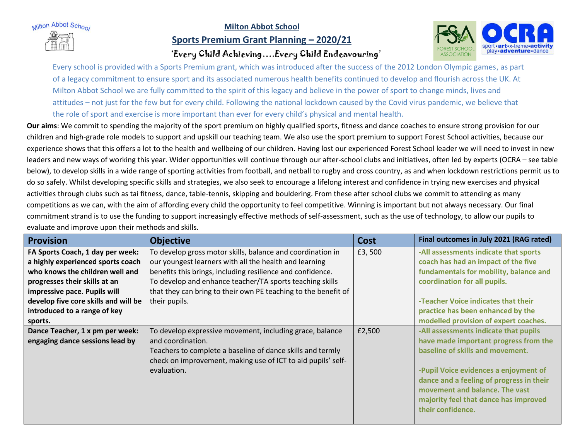Milton Abbot School

## **Milton Abbot School**

## **Sports Premium Grant Planning – 2020/21**





Every school is provided with a Sports Premium grant, which was introduced after the success of the 2012 London Olympic games, as part of a legacy commitment to ensure sport and its associated numerous health benefits continued to develop and flourish across the UK. At Milton Abbot School we are fully committed to the spirit of this legacy and believe in the power of sport to change minds, lives and attitudes – not just for the few but for every child. Following the national lockdown caused by the Covid virus pandemic, we believe that the role of sport and exercise is more important than ever for every child's physical and mental health.

**Our aims**: We commit to spending the majority of the sport premium on highly qualified sports, fitness and dance coaches to ensure strong provision for our children and high-grade role models to support and upskill our teaching team. We also use the sport premium to support Forest School activities, because our experience shows that this offers a lot to the health and wellbeing of our children. Having lost our experienced Forest School leader we will need to invest in new leaders and new ways of working this year. Wider opportunities will continue through our after-school clubs and initiatives, often led by experts (OCRA – see table below), to develop skills in a wide range of sporting activities from football, and netball to rugby and cross country, as and when lockdown restrictions permit us to do so safely. Whilst developing specific skills and strategies, we also seek to encourage a lifelong interest and confidence in trying new exercises and physical activities through clubs such as tai fitness, dance, table-tennis, skipping and bouldering. From these after school clubs we commit to attending as many competitions as we can, with the aim of affording every child the opportunity to feel competitive. Winning is important but not always necessary. Our final commitment strand is to use the funding to support increasingly effective methods of self-assessment, such as the use of technology, to allow our pupils to evaluate and improve upon their methods and skills.

| <b>Provision</b>                     | <b>Objective</b>                                               | <b>Cost</b> | Final outcomes in July 2021 (RAG rated)  |
|--------------------------------------|----------------------------------------------------------------|-------------|------------------------------------------|
| FA Sports Coach, 1 day per week:     | To develop gross motor skills, balance and coordination in     | £3,500      | -All assessments indicate that sports    |
| a highly experienced sports coach    | our youngest learners with all the health and learning         |             | coach has had an impact of the five      |
| who knows the children well and      | benefits this brings, including resilience and confidence.     |             | fundamentals for mobility, balance and   |
| progresses their skills at an        | To develop and enhance teacher/TA sports teaching skills       |             | coordination for all pupils.             |
| impressive pace. Pupils will         | that they can bring to their own PE teaching to the benefit of |             |                                          |
| develop five core skills and will be | their pupils.                                                  |             | -Teacher Voice indicates that their      |
| introduced to a range of key         |                                                                |             | practice has been enhanced by the        |
| sports.                              |                                                                |             | modelled provision of expert coaches.    |
| Dance Teacher, 1 x pm per week:      | To develop expressive movement, including grace, balance       | £2,500      | -All assessments indicate that pupils    |
| engaging dance sessions lead by      | and coordination.                                              |             | have made important progress from the    |
|                                      | Teachers to complete a baseline of dance skills and termly     |             | baseline of skills and movement.         |
|                                      | check on improvement, making use of ICT to aid pupils' self-   |             |                                          |
|                                      | evaluation.                                                    |             | -Pupil Voice evidences a enjoyment of    |
|                                      |                                                                |             | dance and a feeling of progress in their |
|                                      |                                                                |             | movement and balance. The vast           |
|                                      |                                                                |             | majority feel that dance has improved    |
|                                      |                                                                |             | their confidence.                        |
|                                      |                                                                |             |                                          |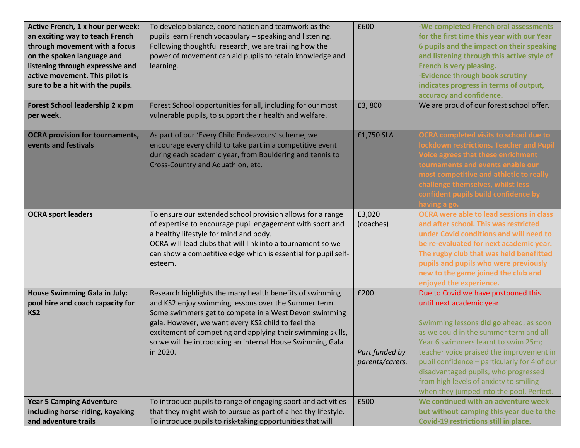| Active French, 1 x hour per week:<br>an exciting way to teach French<br>through movement with a focus<br>on the spoken language and<br>listening through expressive and<br>active movement. This pilot is<br>sure to be a hit with the pupils. | To develop balance, coordination and teamwork as the<br>pupils learn French vocabulary - speaking and listening.<br>Following thoughtful research, we are trailing how the<br>power of movement can aid pupils to retain knowledge and<br>learning.                                                                                                                     | £600                                      | -We completed French oral assessments<br>for the first time this year with our Year<br>6 pupils and the impact on their speaking<br>and listening through this active style of<br>French is very pleasing.<br>-Evidence through book scrutiny<br>indicates progress in terms of output,<br>accuracy and confidence.                                                                                                   |
|------------------------------------------------------------------------------------------------------------------------------------------------------------------------------------------------------------------------------------------------|-------------------------------------------------------------------------------------------------------------------------------------------------------------------------------------------------------------------------------------------------------------------------------------------------------------------------------------------------------------------------|-------------------------------------------|-----------------------------------------------------------------------------------------------------------------------------------------------------------------------------------------------------------------------------------------------------------------------------------------------------------------------------------------------------------------------------------------------------------------------|
| Forest School leadership 2 x pm<br>per week.                                                                                                                                                                                                   | Forest School opportunities for all, including for our most<br>vulnerable pupils, to support their health and welfare.                                                                                                                                                                                                                                                  | £3,800                                    | We are proud of our forest school offer.                                                                                                                                                                                                                                                                                                                                                                              |
| <b>OCRA provision for tournaments,</b><br>events and festivals                                                                                                                                                                                 | As part of our 'Every Child Endeavours' scheme, we<br>encourage every child to take part in a competitive event<br>during each academic year, from Bouldering and tennis to<br>Cross-Country and Aquathlon, etc.                                                                                                                                                        | £1,750 SLA                                | <b>OCRA completed visits to school due to</b><br>ockdown restrictions. Teacher and Pupil<br><b>Voice agrees that these enrichment</b><br>tournaments and events enable our<br>most competitive and athletic to really<br>challenge themselves, whilst less<br>confident pupils build confidence by                                                                                                                    |
| <b>OCRA sport leaders</b>                                                                                                                                                                                                                      | To ensure our extended school provision allows for a range<br>of expertise to encourage pupil engagement with sport and<br>a healthy lifestyle for mind and body.<br>OCRA will lead clubs that will link into a tournament so we<br>can show a competitive edge which is essential for pupil self-<br>esteem.                                                           | £3,020<br>(coaches)                       | <b>OCRA were able to lead sessions in class</b><br>and after school. This was restricted<br>under Covid conditions and will need to<br>be re-evaluated for next academic year.<br>The rugby club that was held benefitted<br>pupils and pupils who were previously<br>new to the game joined the club and<br>enjoyed the experience.                                                                                  |
| <b>House Swimming Gala in July:</b><br>pool hire and coach capacity for<br>KS <sub>2</sub>                                                                                                                                                     | Research highlights the many health benefits of swimming<br>and KS2 enjoy swimming lessons over the Summer term.<br>Some swimmers get to compete in a West Devon swimming<br>gala. However, we want every KS2 child to feel the<br>excitement of competing and applying their swimming skills,<br>so we will be introducing an internal House Swimming Gala<br>in 2020. | £200<br>Part funded by<br>parents/carers. | Due to Covid we have postponed this<br>until next academic year.<br>Swimming lessons did go ahead, as soon<br>as we could in the summer term and all<br>Year 6 swimmers learnt to swim 25m;<br>teacher voice praised the improvement in<br>pupil confidence - particularly for 4 of our<br>disadvantaged pupils, who progressed<br>from high levels of anxiety to smiling<br>when they jumped into the pool. Perfect. |
| <b>Year 5 Camping Adventure</b><br>including horse-riding, kayaking<br>and adventure trails                                                                                                                                                    | To introduce pupils to range of engaging sport and activities<br>that they might wish to pursue as part of a healthy lifestyle.<br>To introduce pupils to risk-taking opportunities that will                                                                                                                                                                           | £500                                      | We continued with an adventure week<br>but without camping this year due to the<br>Covid-19 restrictions still in place.                                                                                                                                                                                                                                                                                              |